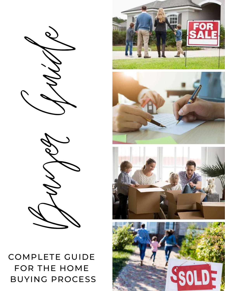### COMPLETE GUIDE FOR THE HOME BUYING PROCESS

Buyer Guide







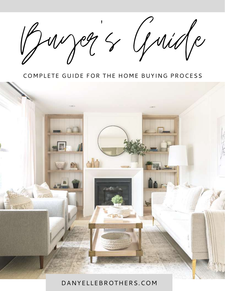Buyer 's Guide

#### COMPLETE GUIDE FOR THE HOME BUYING PROCESS



#### DANYELLEBROTHERS.COM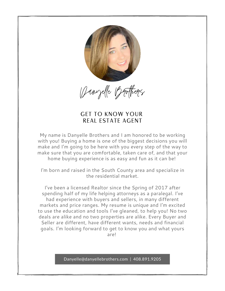

Danyelle Brothers

#### GET TO KNOW YOUR REAL ESTATE AGENT

My name is Danyelle Brothers and I am honored to be working with you! Buying a home is one of the biggest decisions you will make and I'm going to be here with you every step of the way to make sure that you are comfortable, taken care of, and that your home buying experience is as easy and fun as it can be!

I'm born and raised in the South County area and specialize in the residential market.

 $\mathcal{L}$   $\mathcal{L}$   $\mathcal{L}$   $\mathcal{L}$ to use the education and tools I've gleaned, to help you! No two I've been a licensed Realtor since the Spring of 2017 after spending half of my life helping attorneys as a paralegal. I've had experience with buyers and sellers, in many different markets and price ranges. My resume is unique and I'm excited deals are alike and no two properties are alike. Every Buyer and Seller are different, have different wants, needs and financial goals. I'm looking forward to get to know you and what yours are!

Danyelle@danyellebrothers.com | 408.891.9205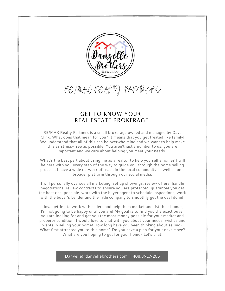

RE/MAX REALTY PARTNERS

#### GET TO KNOW YOUR REAL ESTATE BROKERAGE

RE/MAX Realty Partners is a small brokerage owned and managed by Dave Clink. What does that mean for you? It means that you get treated like family! We understand that all of this can be overwhelming and we want to help make this as stress-free as possible! You aren't just a number to us; you are important and we care about helping you meet your needs.

What's the best part about using me as a realtor to help you sell a home? I will be here with you every step of the way to guide you through the home selling process. I have a wide network of reach in the local community as well as on a broader platform through our social media.

I will personally oversee all marketing, set up showings, review offers, handle negotiations, review contracts to ensure you are protected, guarantee you get the best deal possible, work with the buyer agent to schedule inspections, work with the buyer's Lender and the Title company to smoothly get the deal done!

I love getting to work with sellers and help them market and list their homes; I'm not going to be happy until you are! My goal is to find you the exact buyer you are looking for and get you the most money possible for your market and property condition. I would love to chat with you about your needs, wishes and wants in selling your home! How long have you been thinking about selling? What first attracted you to this home? Do you have a plan for your next move? What are you hoping to get for your home? Let's chat!

Danyelle@danyellebrothers.com | 408.891.9205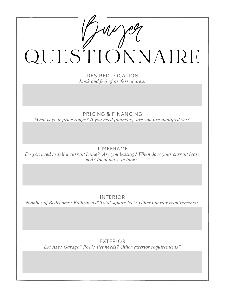| QUESTIONNAIRE                                                                                                 |
|---------------------------------------------------------------------------------------------------------------|
| <b>DESIRED LOCATION</b>                                                                                       |
| Look and feel of preferred area.                                                                              |
|                                                                                                               |
|                                                                                                               |
| PRICING & FINANCING<br>What is your price range? If you need financing, are you pre-qualified yet?            |
|                                                                                                               |
|                                                                                                               |
| <b>TIMEFRAME</b>                                                                                              |
| Do you need to sell a current home? Are you leasing? When does your current lease<br>end? Ideal move in time? |
|                                                                                                               |
|                                                                                                               |
|                                                                                                               |
| <b>INTERIOR</b>                                                                                               |
| Number of Bedrooms? Bathrooms? Total square feet? Other interior requirements?                                |
|                                                                                                               |
|                                                                                                               |
|                                                                                                               |
| <b>EXTERIOR</b>                                                                                               |
| Lot size? Garage? Pool? Pet needs? Other exterior requirements?                                               |
|                                                                                                               |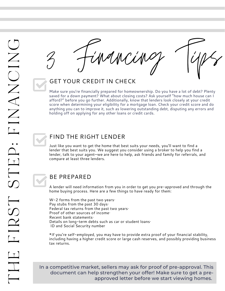Financing Tips

## GET YOUR CREDIT IN CHECK 3

Make sure you're financially prepared for homeownership. Do you have a lot of debt? Plenty saved for a down payment? What about closing costs? Ask yourself "how much house can I afford?" before you go further. Additionally, know that lenders look closely at your credit score when determining your eligibility for a mortgage loan. Check your credit score and do anything you can to improve it, such as lowering outstanding debt, disputing any errors and holding off on applying for any other loans or credit cards.

#### FIND THE RIGHT LENDER

Just like you want to get the home that best suits your needs, you'll want to find a lender that best suits you. We suggest you consider using a broker to help you find a lender, talk to your agent—we are here to help, ask friends and family for referrals, and compare at least three lenders.

#### BE PREPARED

A lender will need information from you in order to get you pre-approved and through the home buying process. Here are a few things to have ready for them:

W-2 forms from the past two years· Pay stubs from the past 30 days· Federal tax returns from the past two years· Proof of other sources of income· Recent bank statements· Details on long-term debts such as car or student loans· ID and Social Security number

\*If you're self-employed, you may have to provide extra proof of your financial stability, including having a higher credit score or large cash reserves, and possibly providing business tax returns.

In a competitive market, sellers may ask for proof of pre-approval. This document can help strengthen your offer! Make sure to get a preapproved letter before we start viewing homes.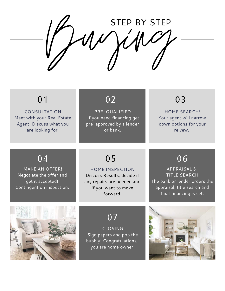Buying STEP BY STEP

CONSULTATION Meet with your Real Estate Agent! Discuss what you are looking for.

PRE-QUALIFIED If you need financing get pre-approved by a lender or bank.

### 01 02 03

HOME SEARCH! Your agent will narrow down options for your reivew.

APPRAISAL & TITLE SEARCH The bank or lender orders the appraisal, title search and final financing is set.

 $\overline{06}$ 

#### 04 05

MAKE AN OFFER! Negotiate the offer and get it accepted! Contingent on inspection.

### $04$  05  $05$  06

HOME INSPECTION Discuss Results, decide if any repairs are needed and if you want to move forward.

07

CLOSING Sign papers and pop the bubbly! Congratulations, you are home owner.

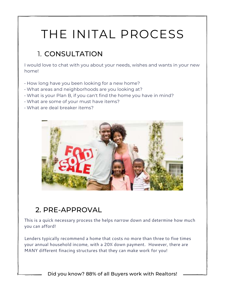## THE INITAL PROCESS

#### 1. CONSULTATION

I would love to chat with you about your needs, wishes and wants in your new home!

- How long have you been looking for a new home?
- What areas and neighborhoods are you looking at?
- What is your Plan B, if you can't find the home you have in mind?
- What are some of your must have items?
- What are deal breaker items?



#### 2. PRE-APPROVAL

This is a quick necessary process the helps narrow down and determine how much you can afford!

Lenders typically recommend a home that costs no more than three to five times your annual household income, with a 20% down payment. However, there are MANY different finacing structures that they can make work for you!

Did you know? 88% of all Buyers work with Realtors!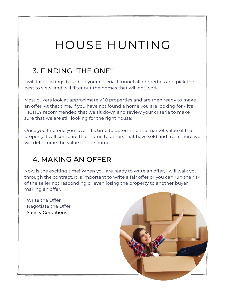## HOUSE HUNTING

#### 3. FINDING "THE ONE"

I will tailor listings based on your criteria. I funnel all properties and pick the best to view, and will filter out the homes that will not work.

Most buyers look at approximately 10 properties and are then ready to make an offer. At that time, if you have not found a home you are looking for - it's HIGHLY recommended that we sit down and review your criteria to make sure that we are still looking for the right house!

Once you find one you love... it's time to determine the market value of that property. I will compare that home to others that have sold and from there we will determine the value for the home!

#### 4. MAKING AN OFFER

Now is the exciting time! When you are ready to write an offer, I will walk you through the contract. It is important to write a fair offer or you can run the risk of the seller not responding or even losing the property to another buyer making an offer.

- Write the Offer
- Negotiate the Offer
- Satisfy Conditions

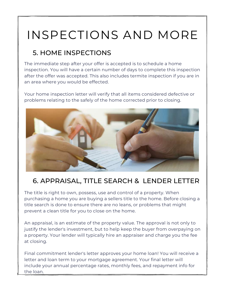## INSPECTIONS AND MORE

#### 5. HOME INSPECTIONS

The immediate step after your offer is accepted is to schedule a home inspection. You will have a certain number of days to complete this inspection after the offer was accepted. This also includes termite inspection if you are in an area where you would be effected.

Your home inspection letter will verify that all items considered defective or problems relating to the safely of the home corrected prior to closing.



#### 6. APPRAISAL, TITLE SEARCH & LENDER LETTER

The title is right to own, possess, use and control of a property. When purchasing a home you are buying a sellers title to the home. Before closing a title search is done to ensure there are no leans, or problems that might prevent a clean title for you to close on the home.

An appraisal, is an estimate of the property value. The approval is not only to justify the lender's investment, but to help keep the buyer from overpaying on a property. Your lender will typically hire an appraiser and charge you the fee at closing.

Final commitment lender's letter approves your home loan! You will receive a letter and loan term to your mortgage agreement. Your final letter will include your annual percentage rates, monthly fees, and repayment info for the loan.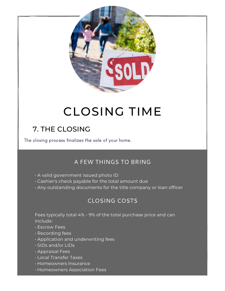

## CLOSING TIME

#### 7. THE CLOSING

The closing process finalizes the sale of your home.

#### A FEW THINGS TO BRING

- A valid government issued photo ID
- Cashier's check payable for the total amount due
- Any outstanding documents for the title company or loan officer

#### CLOSING COSTS

Fees typically total 4% - 9% of the total purchase price and can include:

- Escrow Fees
- Recording fees
- Application and underwriting fees
- SIDs and/or LIDs
- Appraisal Fees
- Local Transfer Taxes
- Homeowners Insurance
- Homeowners Association Fees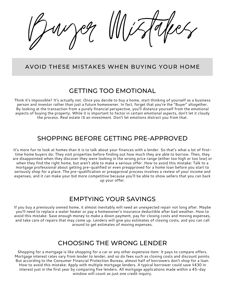Buyer Mistakes

#### AVOID THESE MISTAKES WHEN BUYING YOUR HOME

#### GETTING TOO EMOTIONAL

Think it's impossible? It's actually not. Once you decide to buy a home, start thinking of yourself as a business person and investor rather than just a future homeowner. In fact, forget that you're the "Buyer" altogether. By looking at the transaction from a purely financial perspective, you'll distance yourself from the emotional aspects of buying the property. While it is important to factor in certain emotional aspects, don't let it cloudy the process. Real estate IS an investment. Don't let emotions distract you from that.

#### SHOPPING BEFORE GETTING PRE-APPROVED

It's more fun to look at homes than it is to talk about your finances with a lender. So that's what a lot of firsttime home buyers do: They visit properties before finding out how much they are able to borrow. Then, they are disappointed when they discover they were looking in the wrong price range (either too high or too low) or when they find the right home, but aren't able to make a serious offer. How to avoid this mistake: Talk to a mortgage professional about getting pre-qualified or even preapproved for a home loan before you start to seriously shop for a place. The pre-qualification or preapproval process involves a review of your income and expenses, and it can make your bid more competitive because you'll be able to show sellers that you can back up your offer.

#### EMPTYING YOUR SAVINGS

If you buy a previously owned home, it almost inevitably will need an unexpected repair not long after. Maybe you'll need to replace a water heater or pay a homeowner's insurance deductible after bad weather. How to avoid this mistake: Save enough money to make a down payment, pay for closing costs and moving expenses, and take care of repairs that may come up. Lenders will give you estimates of closing costs, and you can call around to get estimates of moving expenses.

#### CHOOSING THE WRONG LENDER

Shopping for a mortgage is like shopping for a car or any other expensive item: It pays to compare offers. Mortgage interest rates vary from lender to lender, and so do fees such as closing costs and discount points. But according to the Consumer Financial Protection Bureau, almost half of borrowers don't shop for a loan. How to avoid this mistake: Apply with multiple mortgage lenders. A typical borrower could save \$430 in interest just in the first year by comparing five lenders. All mortgage applications made within a 45-day window will count as just one credit inquiry.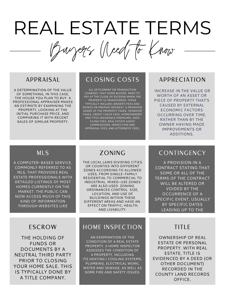## REAL ESTATE TERMS

Buyers Need to Know

#### APPRAISAL

A DETERMINATION OF THE VALUE OF SOMETHING, IN THIS CASE, THE HOUSE YOU PLAN TO BUY. A PROFESSIONAL APPRAISER MAKES AN ESTIMATE BY EXAMINING THE PROPERTY, LOOKING AT THE INITIAL PURCHASE PRICE, AND COMPARING IT WITH RECENT SALES OF SIMILAR PROPERTY.

#### CLOSING COSTS

ALL SETTLEMENT OR TRANSACTION CHARGES THAT HOME BUYERS NEED TO PAY AT THE CLOSE OF ESCROW WHEN THE PROPERTY IS TRANSFERRED. THESE TYPICALLY INCLUDE LENDER'S FEES AND POINTS OR PREPAID INTEREST, A PRORATED SHARE OF THE PROPERTY TAXES, TRANSFER TAXES, CREDIT CHECK FEES, HOMEOWNERS' AND TITLE INSURANCE PREMIUMS, DEED FILING FEES, REAL ESTATE AGENT COMMISSIONS, INSPECTION AND APPRAISAL FEES, AND ATTORNEYS' FEES.

#### APPRECIATION

INCREASE IN THE VALUE OR WORTH OF AN ASSET OR PIECE OF PROPERTY THAT'S CAUSED BY EXTERNAL ECONOMIC FACTORS OCCURRING OVER TIME, RATHER THAN BY THE OWNER HAVING MADE IMPROVEMENTS OR ADDITIONS.

#### MLS

A COMPUTER-BASED SERVICE, COMMONLY REFERRED TO AS MLS, THAT PROVIDES REAL ESTATE PROFESSIONALS WITH DETAILED LISTINGS OF MOST HOMES CURRENTLY ON THE MARKET. THE PUBLIC CAN NOW ACCESS MUCH OF THIS KIND OF INFORMATION THROUGH WEBSITES LIKE

#### ZONING

THE LOCAL LAWS DIVIDING CITIES OR COUNTIES INTO DIFFERENT ZONES ACCORDING TO ALLOWED USES, FROM SINGLE-FAMILY RESIDENTIAL TO COMMERCIAL TO INDUSTRIAL. MIXED-USE ZONES ARE ALSO USED. ZONING ORDINANCES CONTROL SIZE, LOCATION, AND USE OF BUILDINGS WITHIN THESE DIFFERENT AREAS AND HAVE AN EFFECT ON TRAFFIC, HEALTH, AND LIVABILITY.

#### ESCROW

THE HOLDING OF FUNDS OR DOCUMENTS BY A NEUTRAL THIRD PARTY PRIOR TO CLOSING YOUR HOME SALE. THIS IS TYPICALLY DONE BY A TITLE COMPANY.

#### HOME INSPECTION

AN EXAMINATION OF THE CONDITION OF A REAL ESTATE PROPERTY. A HOME INSPECTOR ASSESSES THE CONDITION OF A PROPERTY, INCLUDING ITS HEATING / COOLING SYSTEMS, PLUMBING, ELECTRICAL WORK, WATER AND SEWAGE, AS WELL AS SOME FIRE AND SAFETY ISSUES.

#### CONTINGENCY

A PROVISION IN A CONTRACT STATING THAT SOME OR ALL OF THE TERMS OF THE CONTRACT WILL BE ALTERED OR VOIDED BY THE OCCURRENCE OF A SPECIFIC EVENT, USUALLY BY SPECIFIC DATES LEADING UP TO THE

#### TITLE

OWNERSHIP OF REAL ESTATE OR PERSONAL PROPERTY. WITH REAL ESTATE, TITLE IS EVIDENCED BY A DEED (OR OTHER DOCUMENT) RECORDED IN THE COUNTY LAND RECORDS OFFICE.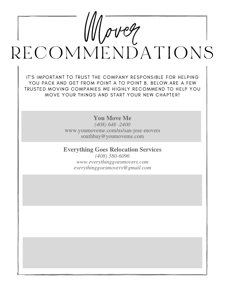# $Moreq$ RECOMMENDATIONS

IT'S IMPORTANT TO TRUST THE COMPANY RESPONSIBLE FOR HELPING YOU PACK AND GET FROM POINT A TO POINT B. BELOW ARE A FEW TRUSTED MOVING COMPANIES WE HIGHLY RECOMMEND TO HELP YOU MOVE YOUR THINGS AND START YOUR NEW CHAPTER!

You Move Me

(408) 648 -2400 www.youmoveme.com/us/san-jose-movers southbay@youmoveme.com

Everything Goes Relocation Services (408) 580-6096

www.everythinggoesmovers.com everythinggoesmovers@gmail.com